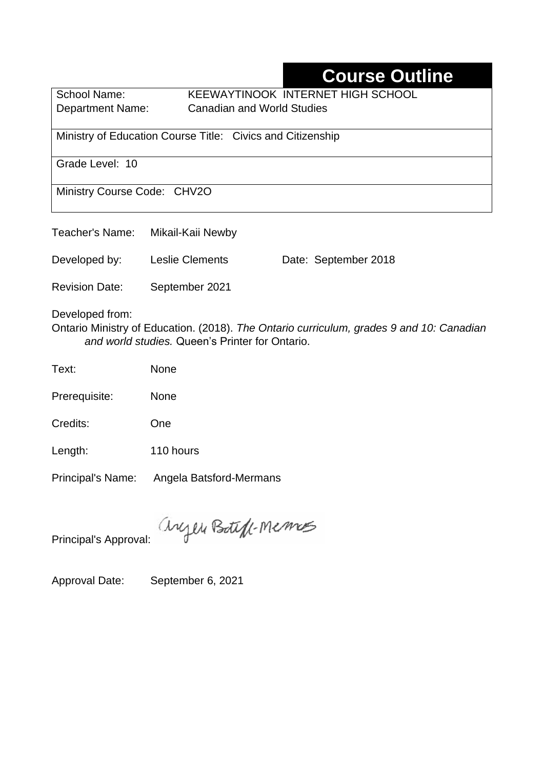## **Course Outline**

School Name: KEEWAYTINOOK INTERNET HIGH SCHOOL Department Name:Canadian and World Studies

Ministry of Education Course Title:Civics and Citizenship

Grade Level: 10

Ministry Course Code: CHV2O

| Teacher's Name:       | Mikail-Kaii Newby      |                      |
|-----------------------|------------------------|----------------------|
| Developed by:         | <b>Leslie Clements</b> | Date: September 2018 |
| <b>Revision Date:</b> | September 2021         |                      |

Developed from:

Ontario Ministry of Education. (2018). *The Ontario curriculum, grades 9 and 10: Canadian and world studies.* Queen's Printer for Ontario.

| Text: | <b>None</b> |
|-------|-------------|
|       |             |

Prerequisite: None

Credits: One

Length: 110 hours

Principal's Name: Angela Batsford-Mermans

anyen Boteff-Memos

Principal's Approval:

Approval Date: September 6, 2021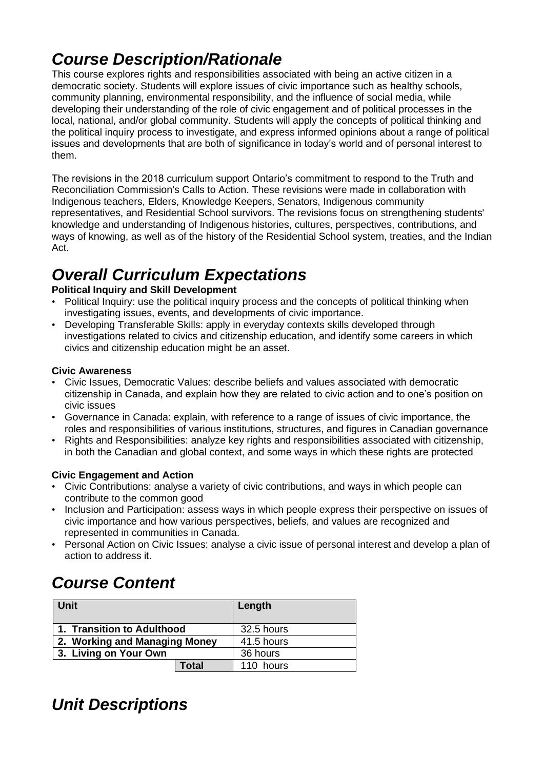## *Course Description/Rationale*

This course explores rights and responsibilities associated with being an active citizen in a democratic society. Students will explore issues of civic importance such as healthy schools, community planning, environmental responsibility, and the influence of social media, while developing their understanding of the role of civic engagement and of political processes in the local, national, and/or global community. Students will apply the concepts of political thinking and the political inquiry process to investigate, and express informed opinions about a range of political issues and developments that are both of significance in today's world and of personal interest to them.

The revisions in the 2018 curriculum support Ontario's commitment to respond to the Truth and Reconciliation Commission's Calls to Action. These revisions were made in collaboration with Indigenous teachers, Elders, Knowledge Keepers, Senators, Indigenous community representatives, and Residential School survivors. The revisions focus on strengthening students' knowledge and understanding of Indigenous histories, cultures, perspectives, contributions, and ways of knowing, as well as of the history of the Residential School system, treaties, and the Indian Act.

# *Overall Curriculum Expectations*

#### **Political Inquiry and Skill Development**

- Political Inquiry: use the political inquiry process and the concepts of political thinking when investigating issues, events, and developments of civic importance.
- Developing Transferable Skills: apply in everyday contexts skills developed through investigations related to civics and citizenship education, and identify some careers in which civics and citizenship education might be an asset.

#### **Civic Awareness**

- Civic Issues, Democratic Values: describe beliefs and values associated with democratic citizenship in Canada, and explain how they are related to civic action and to one's position on civic issues
- Governance in Canada: explain, with reference to a range of issues of civic importance, the roles and responsibilities of various institutions, structures, and figures in Canadian governance
- Rights and Responsibilities: analyze key rights and responsibilities associated with citizenship, in both the Canadian and global context, and some ways in which these rights are protected

#### **Civic Engagement and Action**

- Civic Contributions: analyse a variety of civic contributions, and ways in which people can contribute to the common good
- Inclusion and Participation: assess ways in which people express their perspective on issues of civic importance and how various perspectives, beliefs, and values are recognized and represented in communities in Canada.
- Personal Action on Civic Issues: analyse a civic issue of personal interest and develop a plan of action to address it.

# *Course Content*

| Unit                          | Length     |
|-------------------------------|------------|
| 1. Transition to Adulthood    | 32.5 hours |
| 2. Working and Managing Money | 41.5 hours |
| 3. Living on Your Own         | 36 hours   |
| <b>Total</b>                  | 110 hours  |

### *Unit Descriptions*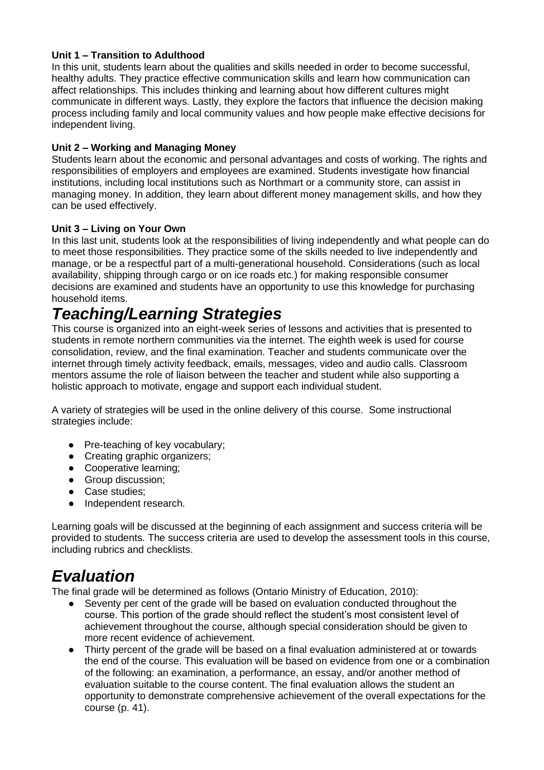#### **Unit 1 – Transition to Adulthood**

In this unit, students learn about the qualities and skills needed in order to become successful, healthy adults. They practice effective communication skills and learn how communication can affect relationships. This includes thinking and learning about how different cultures might communicate in different ways. Lastly, they explore the factors that influence the decision making process including family and local community values and how people make effective decisions for independent living.

#### **Unit 2 – Working and Managing Money**

Students learn about the economic and personal advantages and costs of working. The rights and responsibilities of employers and employees are examined. Students investigate how financial institutions, including local institutions such as Northmart or a community store, can assist in managing money. In addition, they learn about different money management skills, and how they can be used effectively.

#### **Unit 3 – Living on Your Own**

In this last unit, students look at the responsibilities of living independently and what people can do to meet those responsibilities. They practice some of the skills needed to live independently and manage, or be a respectful part of a multi-generational household. Considerations (such as local availability, shipping through cargo or on ice roads etc.) for making responsible consumer decisions are examined and students have an opportunity to use this knowledge for purchasing household items.

## *Teaching/Learning Strategies*

This course is organized into an eight-week series of lessons and activities that is presented to students in remote northern communities via the internet. The eighth week is used for course consolidation, review, and the final examination. Teacher and students communicate over the internet through timely activity feedback, emails, messages, video and audio calls. Classroom mentors assume the role of liaison between the teacher and student while also supporting a holistic approach to motivate, engage and support each individual student.

A variety of strategies will be used in the online delivery of this course. Some instructional strategies include:

- Pre-teaching of key vocabulary;
- Creating graphic organizers:
- Cooperative learning;
- Group discussion;
- Case studies:
- Independent research.

Learning goals will be discussed at the beginning of each assignment and success criteria will be provided to students. The success criteria are used to develop the assessment tools in this course, including rubrics and checklists.

### *Evaluation*

The final grade will be determined as follows (Ontario Ministry of Education, 2010):

- Seventy per cent of the grade will be based on evaluation conducted throughout the course. This portion of the grade should reflect the student's most consistent level of achievement throughout the course, although special consideration should be given to more recent evidence of achievement.
- Thirty percent of the grade will be based on a final evaluation administered at or towards the end of the course. This evaluation will be based on evidence from one or a combination of the following: an examination, a performance, an essay, and/or another method of evaluation suitable to the course content. The final evaluation allows the student an opportunity to demonstrate comprehensive achievement of the overall expectations for the course (p. 41).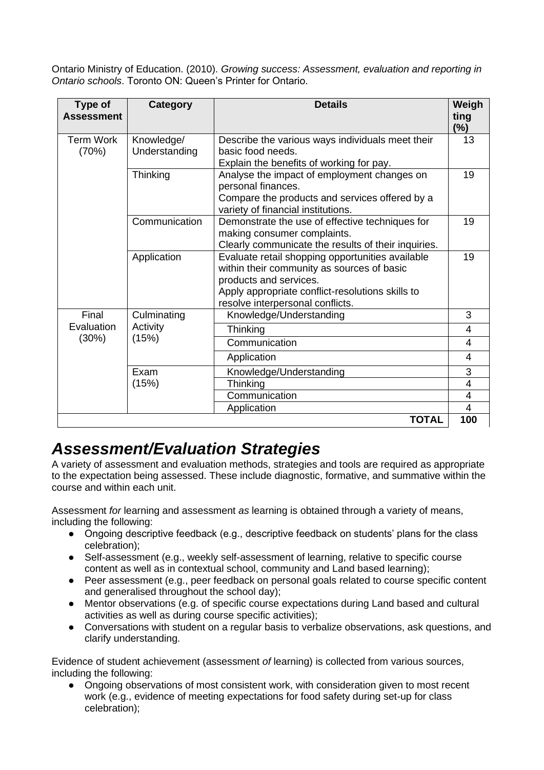Ontario Ministry of Education. (2010). *Growing success: Assessment, evaluation and reporting in Ontario schools*. Toronto ON: Queen's Printer for Ontario.

| <b>Type of</b><br><b>Assessment</b> | Category                    | <b>Details</b>                                                                                                                                                                                                   | Weigh<br>ting<br>$(\%)$ |
|-------------------------------------|-----------------------------|------------------------------------------------------------------------------------------------------------------------------------------------------------------------------------------------------------------|-------------------------|
| <b>Term Work</b><br>(70%)           | Knowledge/<br>Understanding | Describe the various ways individuals meet their<br>basic food needs.<br>Explain the benefits of working for pay.                                                                                                | 13                      |
|                                     | Thinking                    | Analyse the impact of employment changes on<br>personal finances.<br>Compare the products and services offered by a<br>variety of financial institutions.                                                        | 19                      |
|                                     | Communication               | Demonstrate the use of effective techniques for<br>making consumer complaints.<br>Clearly communicate the results of their inquiries.                                                                            | 19                      |
|                                     | Application                 | Evaluate retail shopping opportunities available<br>within their community as sources of basic<br>products and services.<br>Apply appropriate conflict-resolutions skills to<br>resolve interpersonal conflicts. | 19                      |
| Final                               | Culminating                 | Knowledge/Understanding                                                                                                                                                                                          | 3                       |
| Evaluation<br>(30%)                 | Activity<br>(15%)           | Thinking                                                                                                                                                                                                         | 4                       |
|                                     |                             | Communication                                                                                                                                                                                                    | 4                       |
|                                     |                             | Application                                                                                                                                                                                                      | 4                       |
|                                     | Exam<br>(15%)               | Knowledge/Understanding                                                                                                                                                                                          | 3                       |
|                                     |                             | Thinking                                                                                                                                                                                                         | $\overline{\mathbf{4}}$ |
|                                     |                             | Communication                                                                                                                                                                                                    | 4                       |
|                                     |                             | Application                                                                                                                                                                                                      | 4                       |
|                                     |                             | <b>TOTAL</b>                                                                                                                                                                                                     | 100                     |

### *Assessment/Evaluation Strategies*

A variety of assessment and evaluation methods, strategies and tools are required as appropriate to the expectation being assessed. These include diagnostic, formative, and summative within the course and within each unit.

Assessment *for* learning and assessment *as* learning is obtained through a variety of means, including the following:

- Ongoing descriptive feedback (e.g., descriptive feedback on students' plans for the class celebration);
- Self-assessment (e.g., weekly self-assessment of learning, relative to specific course content as well as in contextual school, community and Land based learning);
- Peer assessment (e.g., peer feedback on personal goals related to course specific content and generalised throughout the school day);
- Mentor observations (e.g. of specific course expectations during Land based and cultural activities as well as during course specific activities);
- Conversations with student on a regular basis to verbalize observations, ask questions, and clarify understanding.

Evidence of student achievement (assessment *of* learning) is collected from various sources, including the following:

• Ongoing observations of most consistent work, with consideration given to most recent work (e.g., evidence of meeting expectations for food safety during set-up for class celebration);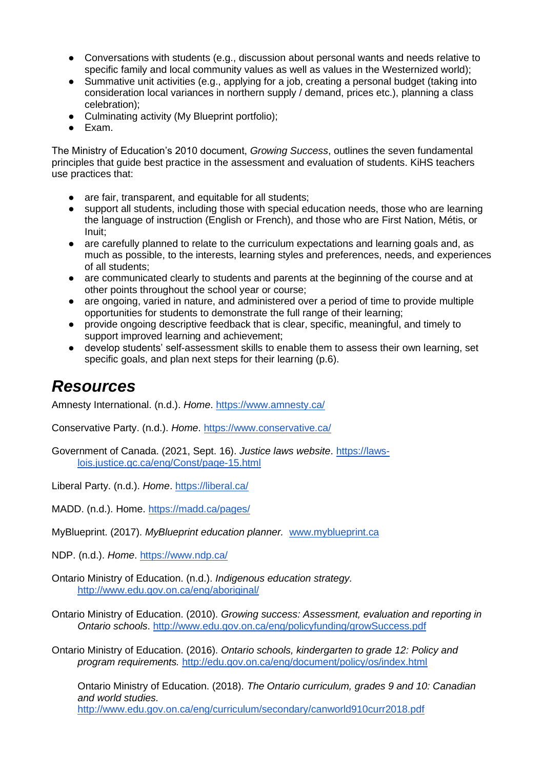- Conversations with students (e.g., discussion about personal wants and needs relative to specific family and local community values as well as values in the Westernized world);
- Summative unit activities (e.g., applying for a job, creating a personal budget (taking into consideration local variances in northern supply / demand, prices etc.), planning a class celebration);
- Culminating activity (My Blueprint portfolio);
- Exam.

The Ministry of Education's 2010 document, *Growing Success*, outlines the seven fundamental principles that guide best practice in the assessment and evaluation of students. KiHS teachers use practices that:

- are fair, transparent, and equitable for all students:
- support all students, including those with special education needs, those who are learning the language of instruction (English or French), and those who are First Nation, Métis, or Inuit;
- are carefully planned to relate to the curriculum expectations and learning goals and, as much as possible, to the interests, learning styles and preferences, needs, and experiences of all students;
- are communicated clearly to students and parents at the beginning of the course and at other points throughout the school year or course;
- are ongoing, varied in nature, and administered over a period of time to provide multiple opportunities for students to demonstrate the full range of their learning;
- provide ongoing descriptive feedback that is clear, specific, meaningful, and timely to support improved learning and achievement;
- develop students' self-assessment skills to enable them to assess their own learning, set specific goals, and plan next steps for their learning (p.6).

### *Resources*

Amnesty International. (n.d.). *Home*.<https://www.amnesty.ca/>

Conservative Party. (n.d.). *Home*.<https://www.conservative.ca/>

Government of Canada. (2021, Sept. 16). *Justice laws website*. [https://laws](https://laws-lois.justice.gc.ca/eng/Const/page-15.html)[lois.justice.gc.ca/eng/Const/page-15.html](https://laws-lois.justice.gc.ca/eng/Const/page-15.html)

Liberal Party. (n.d.). *Home*.<https://liberal.ca/>

MADD. (n.d.). Home.<https://madd.ca/pages/>

MyBlueprint. (2017). *MyBlueprint education planner.* [www.myblueprint.ca](http://www.myblueprint.ca/)

NDP. (n.d.). *Home*.<https://www.ndp.ca/>

Ontario Ministry of Education. (n.d.). *Indigenous education strategy.* <http://www.edu.gov.on.ca/eng/aboriginal/>

Ontario Ministry of Education. (2010). *Growing success: Assessment, evaluation and reporting in Ontario schools*.<http://www.edu.gov.on.ca/eng/policyfunding/growSuccess.pdf>

Ontario Ministry of Education. (2016). *Ontario schools, kindergarten to grade 12: Policy and program requirements.* <http://edu.gov.on.ca/eng/document/policy/os/index.html>

Ontario Ministry of Education. (2018). *The Ontario curriculum, grades 9 and 10: Canadian and world studies.* <http://www.edu.gov.on.ca/eng/curriculum/secondary/canworld910curr2018.pdf>